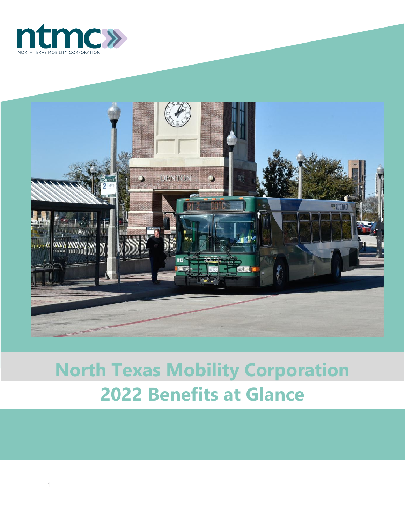



# **North Texas Mobility Corporation Benefits at Glance**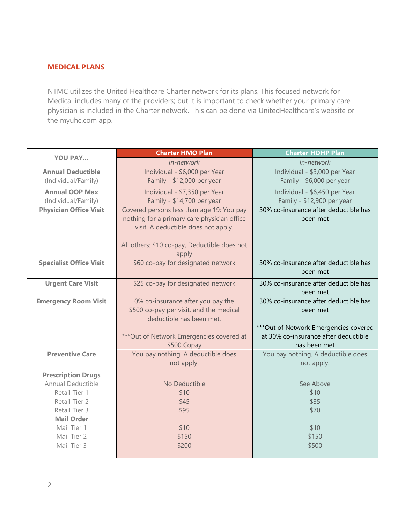#### **MEDICAL PLANS**

NTMC utilizes the United Healthcare Charter network for its plans. This focused network for Medical includes many of the providers; but it is important to check whether your primary care physician is included in the Charter network. This can be done via UnitedHealthcare's website or the myuhc.com app.

| <b>Charter HMO Plan</b><br><b>YOU PAY</b> |                                              | <b>Charter HDHP Plan</b>               |
|-------------------------------------------|----------------------------------------------|----------------------------------------|
|                                           | In-network                                   | In-network                             |
| <b>Annual Deductible</b>                  | Individual - \$6,000 per Year                | Individual - \$3,000 per Year          |
| (Individual/Family)                       | Family - \$12,000 per year                   | Family - \$6,000 per year              |
| <b>Annual OOP Max</b>                     | Individual - \$7,350 per Year                | Individual - \$6,450 per Year          |
| (Individual/Family)                       | Family - \$14,700 per year                   | Family - \$12,900 per year             |
| <b>Physician Office Visit</b>             | Covered persons less than age 19: You pay    | 30% co-insurance after deductible has  |
|                                           | nothing for a primary care physician office  | been met                               |
|                                           | visit. A deductible does not apply.          |                                        |
|                                           |                                              |                                        |
|                                           | All others: \$10 co-pay, Deductible does not |                                        |
|                                           | apply                                        |                                        |
| <b>Specialist Office Visit</b>            | \$60 co-pay for designated network           | 30% co-insurance after deductible has  |
|                                           |                                              | been met                               |
| <b>Urgent Care Visit</b>                  | \$25 co-pay for designated network           | 30% co-insurance after deductible has  |
|                                           |                                              | been met                               |
| <b>Emergency Room Visit</b>               | 0% co-insurance after you pay the            | 30% co-insurance after deductible has  |
|                                           | \$500 co-pay per visit, and the medical      | been met                               |
|                                           | deductible has been met.                     |                                        |
|                                           |                                              | *** Out of Network Emergencies covered |
|                                           | *** Out of Network Emergencies covered at    | at 30% co-insurance after deductible   |
|                                           | \$500 Copay                                  | has been met                           |
| <b>Preventive Care</b>                    | You pay nothing. A deductible does           | You pay nothing. A deductible does     |
|                                           | not apply.                                   | not apply.                             |
| <b>Prescription Drugs</b>                 |                                              |                                        |
| Annual Deductible                         | No Deductible                                | See Above                              |
| Retail Tier 1                             | \$10                                         | \$10                                   |
| Retail Tier 2                             | \$45                                         | \$35                                   |
| Retail Tier 3                             | \$95                                         | \$70                                   |
| <b>Mail Order</b>                         |                                              |                                        |
| Mail Tier 1                               | \$10                                         | \$10                                   |
| Mail Tier 2                               | \$150                                        | \$150                                  |
| Mail Tier 3                               | \$200                                        | \$500                                  |
|                                           |                                              |                                        |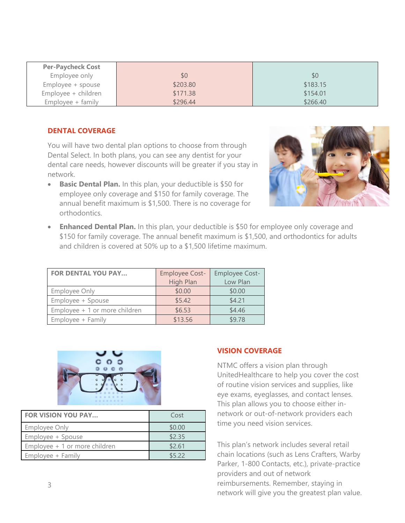| <b>Per-Paycheck Cost</b> |          |          |
|--------------------------|----------|----------|
| Employee only            | \$0      | \$0      |
| Employee + spouse        | \$203.80 | \$183.15 |
| Employee + children      | \$171.38 | \$154.01 |
| $Emplovee + family$      | \$296.44 | \$266.40 |

#### **DENTAL COVERAGE**

You will have two dental plan options to choose from through Dental Select. In both plans, you can see any dentist for your dental care needs, however discounts will be greater if you stay in network.

• **Basic Dental Plan.** In this plan, your deductible is \$50 for employee only coverage and \$150 for family coverage. The annual benefit maximum is \$1,500. There is no coverage for orthodontics.



• **Enhanced Dental Plan.** In this plan, your deductible is \$50 for employee only coverage and \$150 for family coverage. The annual benefit maximum is \$1,500, and orthodontics for adults and children is covered at 50% up to a \$1,500 lifetime maximum.

| <b>FOR DENTAL YOU PAY</b>     | Employee Cost- | <b>Employee Cost-</b> |
|-------------------------------|----------------|-----------------------|
|                               | High Plan      | Low Plan              |
| <b>Employee Only</b>          | \$0.00         | \$0.00                |
| Employee + Spouse             | \$5.42         | \$4.21                |
| Employee + 1 or more children | \$6.53         | \$4.46                |
| Employee + Family             | \$13.56        | \$9.78                |



| <b>FOR VISION YOU PAY</b>     | Cost   |
|-------------------------------|--------|
| <b>Employee Only</b>          | \$0.00 |
| Employee + Spouse             | \$2.35 |
| Employee + 1 or more children | \$2.61 |
| Employee + Family             | \$522  |

#### **VISION COVERAGE**

NTMC offers a vision plan through UnitedHealthcare to help you cover the cost of routine vision services and supplies, like eye exams, eyeglasses, and contact lenses. This plan allows you to choose either innetwork or out-of-network providers each time you need vision services.

This plan's network includes several retail chain locations (such as Lens Crafters, Warby Parker, 1-800 Contacts, etc.), private-practice providers and out of network reimbursements. Remember, staying in network will give you the greatest plan value.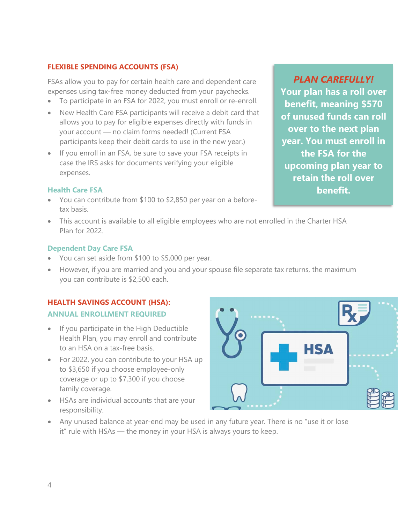## **FLEXIBLE SPENDING ACCOUNTS (FSA)**

FSAs allow you to pay for certain health care and dependent care expenses using tax-free money deducted from your paychecks.

- To participate in an FSA for 2022, you must enroll or re-enroll.
- New Health Care FSA participants will receive a debit card that allows you to pay for eligible expenses directly with funds in your account — no claim forms needed! (Current FSA participants keep their debit cards to use in the new year.)
- If you enroll in an FSA, be sure to save your FSA receipts in case the IRS asks for documents verifying your eligible expenses.

# **Health Care FSA**

- You can contribute from \$100 to \$2,850 per year on a beforetax basis.
- This account is available to all eligible employees who are not enrolled in the Charter HSA Plan for 2022.

### **Dependent Day Care FSA**

- You can set aside from \$100 to \$5,000 per year.
- However, if you are married and you and your spouse file separate tax returns, the maximum you can contribute is \$2,500 each.

# **HEALTH SAVINGS ACCOUNT (HSA):**

# **ANNUAL ENROLLMENT REQUIRED**

- If you participate in the High Deductible Health Plan, you may enroll and contribute to an HSA on a tax-free basis.
- For 2022, you can contribute to your HSA up to \$3,650 if you choose employee-only coverage or up to \$7,300 if you choose family coverage.
- HSAs are individual accounts that are your responsibility.



• Any unused balance at year-end may be used in any future year. There is no "use it or lose it" rule with HSAs — the money in your HSA is always yours to keep.

*PLAN CAREFULLY!* **Your plan has a roll over benefit, meaning \$570 of unused funds can roll over to the next plan year. You must enroll in the FSA for the upcoming plan year to retain the roll over benefit.**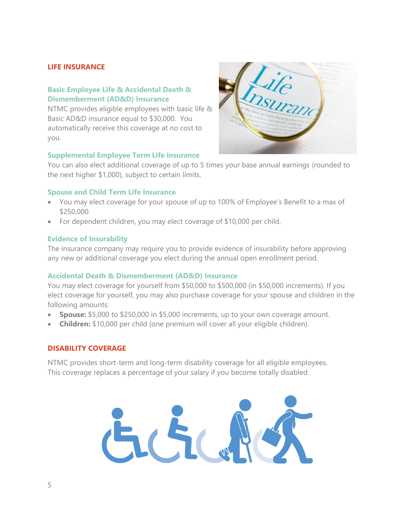#### **LIFE INSURANCE**

#### **Basic Employee Life & Accidental Death & Dismemberment (AD&D) Insurance**

NTMC provides eligible employees with basic life & Basic AD&D insurance equal to \$30,000. You automatically receive this coverage at no cost to you.

#### **Supplemental Employee Term Life Insurance**



You can also elect additional coverage of up to 5 times your base annual earnings (rounded to the next higher \$1,000), subject to certain limits.

#### **Spouse and Child Term Life Insurance**

- You may elect coverage for your spouse of up to 100% of Employee's Benefit to a max of \$250,000.
- For dependent children, you may elect coverage of \$10,000 per child.

#### **Evidence of Insurability**

The insurance company may require you to provide evidence of insurability before approving any new or additional coverage you elect during the annual open enrollment period.

#### **Accidental Death & Dismemberment (AD&D) Insurance**

You may elect coverage for yourself from \$50,000 to \$500,000 (in \$50,000 increments). If you elect coverage for yourself, you may also purchase coverage for your spouse and children in the following amounts:

- **Spouse:** \$5,000 to \$250,000 in \$5,000 increments, up to your own coverage amount.
- **Children:** \$10,000 per child (one premium will cover all your eligible children).

#### **DISABILITY COVERAGE**

NTMC provides short-term and long-term disability coverage for all eligible employees. This coverage replaces a percentage of your salary if you become totally disabled.

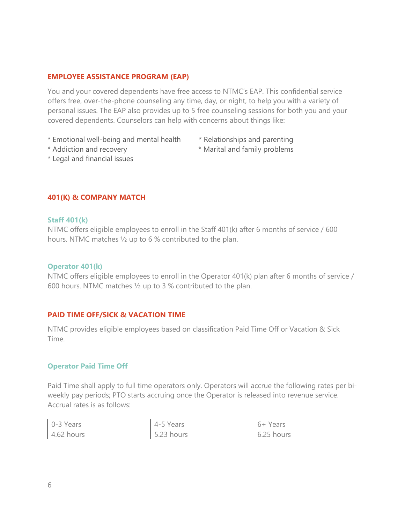#### **EMPLOYEE ASSISTANCE PROGRAM (EAP)**

You and your covered dependents have free access to NTMC's EAP. This confidential service offers free, over-the-phone counseling any time, day, or night, to help you with a variety of personal issues. The EAP also provides up to 5 free counseling sessions for both you and your covered dependents. Counselors can help with concerns about things like:

- \* Emotional well-being and mental health \* Relationships and parenting
	-
- \* Addiction and recovery \* Marital and family problems
- \* Legal and financial issues

#### **401(K) & COMPANY MATCH**

#### **Staff 401(k)**

NTMC offers eligible employees to enroll in the Staff 401(k) after 6 months of service / 600 hours. NTMC matches ½ up to 6 % contributed to the plan.

#### **Operator 401(k)**

NTMC offers eligible employees to enroll in the Operator 401(k) plan after 6 months of service / 600 hours. NTMC matches ½ up to 3 % contributed to the plan.

#### **PAID TIME OFF/SICK & VACATION TIME**

NTMC provides eligible employees based on classification Paid Time Off or Vacation & Sick Time.

#### **Operator Paid Time Off**

Paid Time shall apply to full time operators only. Operators will accrue the following rates per biweekly pay periods; PTO starts accruing once the Operator is released into revenue service. Accrual rates is as follows:

| 0-3 Years  | 4-5 Years           | $6+$<br>Years |
|------------|---------------------|---------------|
| 4.62 hours | $-22$<br>5.23 hours | 6.25 hours    |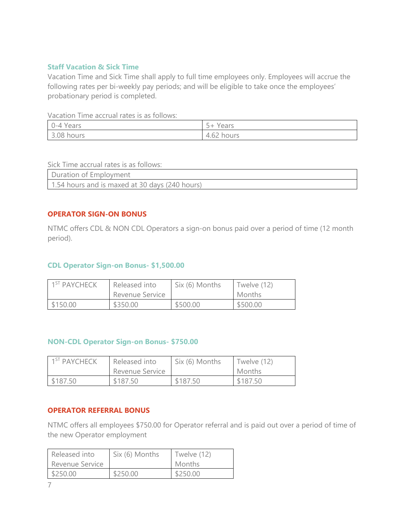#### **Staff Vacation & Sick Time**

Vacation Time and Sick Time shall apply to full time employees only. Employees will accrue the following rates per bi-weekly pay periods; and will be eligible to take once the employees' probationary period is completed.

Vacation Time accrual rates is as follows:

| 0-4 Years  | $\sim$<br>Years<br>$\overline{\phantom{a}}$ |
|------------|---------------------------------------------|
| 3.08 hours | $\sim$ $\sim$<br>hours<br>⊦.o∠<br>4         |

Sick Time accrual rates is as follows:

| Duration of Employment                         |  |
|------------------------------------------------|--|
| 1.54 hours and is maxed at 30 days (240 hours) |  |

#### **OPERATOR SIGN-ON BONUS**

NTMC offers CDL & NON CDL Operators a sign-on bonus paid over a period of time (12 month period).

#### **CDL Operator Sign-on Bonus- \$1,500.00**

| 1 <sup>ST</sup> PAYCHECK | Released into   | Six (6) Months | Twelve (12) |
|--------------------------|-----------------|----------------|-------------|
|                          | Revenue Service |                | Months      |
| \$150.00                 | \$350.00        | \$500.00       | \$500.00    |

#### **NON-CDL Operator Sign-on Bonus- \$750.00**

| 1 <sup>ST</sup> PAYCHECK | Released into<br>Revenue Service | Six (6) Months | Twelve (12)<br>Months |
|--------------------------|----------------------------------|----------------|-----------------------|
| \$187.50                 | \$187.50                         | \$187.50       | \$187.50              |

#### **OPERATOR REFERRAL BONUS**

NTMC offers all employees \$750.00 for Operator referral and is paid out over a period of time of the new Operator employment

| Released into   | Six (6) Months | Twelve (12)   |
|-----------------|----------------|---------------|
| Revenue Service |                | <b>Months</b> |
| \$250.00        | \$250.00       | \$250.00      |